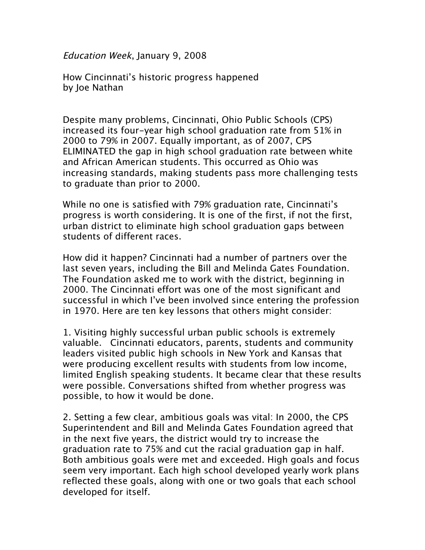Education Week, January 9, 2008

How Cincinnati's historic progress happened by Joe Nathan

Despite many problems, Cincinnati, Ohio Public Schools (CPS) increased its four-year high school graduation rate from 51% in 2000 to 79% in 2007. Equally important, as of 2007, CPS ELIMINATED the gap in high school graduation rate between white and African American students. This occurred as Ohio was increasing standards, making students pass more challenging tests to graduate than prior to 2000.

While no one is satisfied with 79% graduation rate, Cincinnati's progress is worth considering. It is one of the first, if not the first, urban district to eliminate high school graduation gaps between students of different races.

How did it happen? Cincinnati had a number of partners over the last seven years, including the Bill and Melinda Gates Foundation. The Foundation asked me to work with the district, beginning in 2000. The Cincinnati effort was one of the most significant and successful in which I've been involved since entering the profession in 1970. Here are ten key lessons that others might consider:

1. Visiting highly successful urban public schools is extremely valuable. Cincinnati educators, parents, students and community leaders visited public high schools in New York and Kansas that were producing excellent results with students from low income, limited English speaking students. It became clear that these results were possible. Conversations shifted from whether progress was possible, to how it would be done.

2. Setting a few clear, ambitious goals was vital: In 2000, the CPS Superintendent and Bill and Melinda Gates Foundation agreed that in the next five years, the district would try to increase the graduation rate to 75% and cut the racial graduation gap in half. Both ambitious goals were met and exceeded. High goals and focus seem very important. Each high school developed yearly work plans reflected these goals, along with one or two goals that each school developed for itself.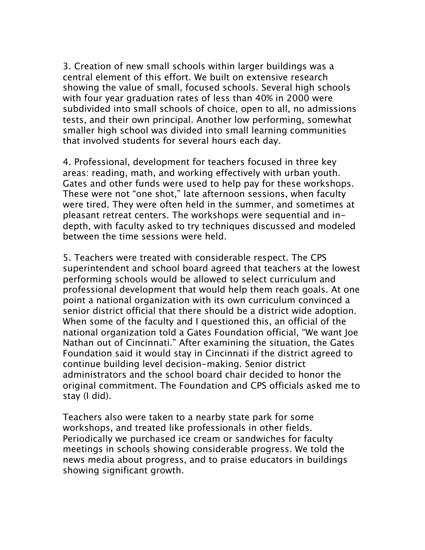3. Creation of new small schools within larger buildings was a central element of this effort. We built on extensive research showing the value of small, focused schools. Several high schools with four year graduation rates of less than 40% in 2000 were subdivided into small schools of choice, open to all, no admissions tests, and their own principal. Another low performing, somewhat smaller high school was divided into small learning communities that involved students for several hours each day.

4. Professional, development for teachers focused in three key areas: reading, math, and working effectively with urban youth. Gates and other funds were used to help pay for these workshops. These were not "one shot," late afternoon sessions, when faculty were tired. They were often held in the summer, and sometimes at pleasant retreat centers. The workshops were sequential and indepth, with faculty asked to try techniques discussed and modeled between the time sessions were held.

5. Teachers were treated with considerable respect. The CPS superintendent and school board agreed that teachers at the lowest performing schools would be allowed to select curriculum and professional development that would help them reach goals. At one point a national organization with its own curriculum convinced a senior district official that there should be a district wide adoption. When some of the faculty and I questioned this, an official of the national organization told a Gates Foundation official, "We want Joe Nathan out of Cincinnati." After examining the situation, the Gates Foundation said it would stay in Cincinnati if the district agreed to continue building level decision-making. Senior district administrators and the school board chair decided to honor the original commitment. The Foundation and CPS officials asked me to stay (I did).

Teachers also were taken to a nearby state park for some workshops, and treated like professionals in other fields. Periodically we purchased ice cream or sandwiches for faculty meetings in schools showing considerable progress. We told the news media about progress, and to praise educators in buildings showing significant growth.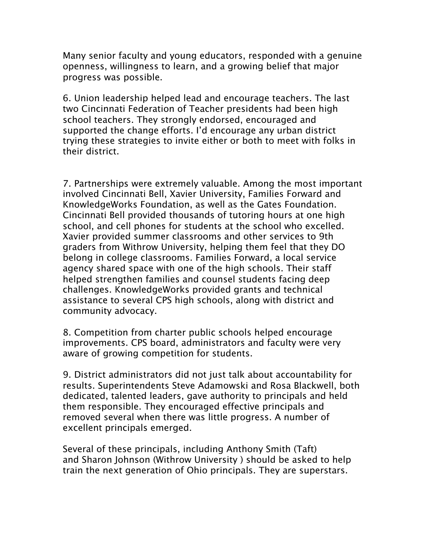Many senior faculty and young educators, responded with a genuine openness, willingness to learn, and a growing belief that major progress was possible.

6. Union leadership helped lead and encourage teachers. The last two Cincinnati Federation of Teacher presidents had been high school teachers. They strongly endorsed, encouraged and supported the change efforts. I'd encourage any urban district trying these strategies to invite either or both to meet with folks in their district.

7. Partnerships were extremely valuable. Among the most important involved Cincinnati Bell, Xavier University, Families Forward and KnowledgeWorks Foundation, as well as the Gates Foundation. Cincinnati Bell provided thousands of tutoring hours at one high school, and cell phones for students at the school who excelled. Xavier provided summer classrooms and other services to 9th graders from Withrow University, helping them feel that they DO belong in college classrooms. Families Forward, a local service agency shared space with one of the high schools. Their staff helped strengthen families and counsel students facing deep challenges. KnowledgeWorks provided grants and technical assistance to several CPS high schools, along with district and community advocacy.

8. Competition from charter public schools helped encourage improvements. CPS board, administrators and faculty were very aware of growing competition for students.

9. District administrators did not just talk about accountability for results. Superintendents Steve Adamowski and Rosa Blackwell, both dedicated, talented leaders, gave authority to principals and held them responsible. They encouraged effective principals and removed several when there was little progress. A number of excellent principals emerged.

Several of these principals, including Anthony Smith (Taft) and Sharon Johnson (Withrow University ) should be asked to help train the next generation of Ohio principals. They are superstars.